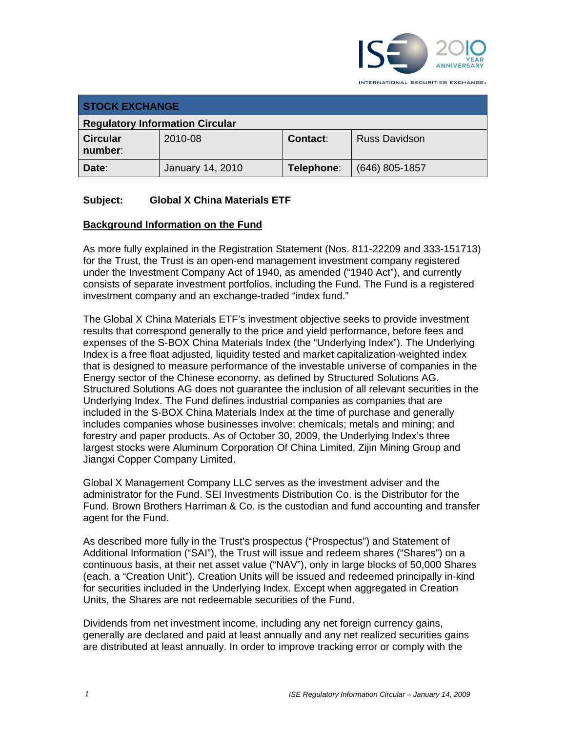

**STOCK EXCHANGE Regulatory Information Circular Circular number**: 2010-08 **Contact**: Russ Davidson **Date**:January 14, 2010 **Telephone**: (646) 805-1857

# **Subject: Global X China Materials ETF**

#### **Background Information on the Fund**

As more fully explained in the Registration Statement (Nos. 811-22209 and 333-151713) for the Trust, the Trust is an open-end management investment company registered under the Investment Company Act of 1940, as amended ("1940 Act"), and currently consists of separate investment portfolios, including the Fund. The Fund is a registered investment company and an exchange-traded "index fund."

The Global X China Materials ETF's investment objective seeks to provide investment results that correspond generally to the price and yield performance, before fees and expenses of the S-BOX China Materials Index (the "Underlying Index"). The Underlying Index is a free float adjusted, liquidity tested and market capitalization-weighted index that is designed to measure performance of the investable universe of companies in the Energy sector of the Chinese economy, as defined by Structured Solutions AG. Structured Solutions AG does not guarantee the inclusion of all relevant securities in the Underlying Index. The Fund defines industrial companies as companies that are included in the S-BOX China Materials Index at the time of purchase and generally includes companies whose businesses involve: chemicals; metals and mining; and forestry and paper products. As of October 30, 2009, the Underlying Index's three largest stocks were Aluminum Corporation Of China Limited, Zijin Mining Group and Jiangxi Copper Company Limited.

Global X Management Company LLC serves as the investment adviser and the administrator for the Fund. SEI Investments Distribution Co. is the Distributor for the Fund. Brown Brothers Harriman & Co. is the custodian and fund accounting and transfer agent for the Fund.

As described more fully in the Trust's prospectus ("Prospectus") and Statement of Additional Information ("SAI"), the Trust will issue and redeem shares ("Shares") on a continuous basis, at their net asset value ("NAV"), only in large blocks of 50,000 Shares (each, a "Creation Unit"). Creation Units will be issued and redeemed principally in-kind for securities included in the Underlying Index. Except when aggregated in Creation Units, the Shares are not redeemable securities of the Fund.

Dividends from net investment income, including any net foreign currency gains, generally are declared and paid at least annually and any net realized securities gains are distributed at least annually. In order to improve tracking error or comply with the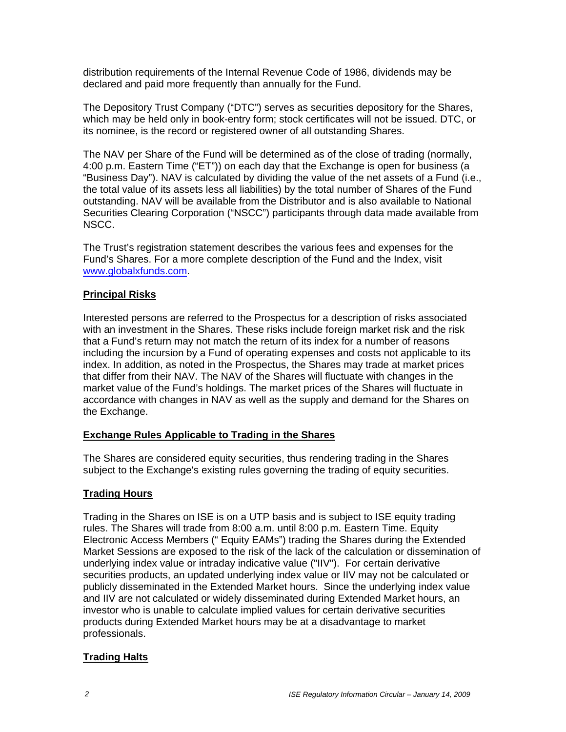distribution requirements of the Internal Revenue Code of 1986, dividends may be declared and paid more frequently than annually for the Fund.

The Depository Trust Company ("DTC") serves as securities depository for the Shares, which may be held only in book-entry form; stock certificates will not be issued. DTC, or its nominee, is the record or registered owner of all outstanding Shares.

The NAV per Share of the Fund will be determined as of the close of trading (normally, 4:00 p.m. Eastern Time ("ET")) on each day that the Exchange is open for business (a "Business Day"). NAV is calculated by dividing the value of the net assets of a Fund (i.e., the total value of its assets less all liabilities) by the total number of Shares of the Fund outstanding. NAV will be available from the Distributor and is also available to National Securities Clearing Corporation ("NSCC") participants through data made available from NSCC.

The Trust's registration statement describes the various fees and expenses for the Fund's Shares. For a more complete description of the Fund and the Index, visit www.globalxfunds.com.

## **Principal Risks**

Interested persons are referred to the Prospectus for a description of risks associated with an investment in the Shares. These risks include foreign market risk and the risk that a Fund's return may not match the return of its index for a number of reasons including the incursion by a Fund of operating expenses and costs not applicable to its index. In addition, as noted in the Prospectus, the Shares may trade at market prices that differ from their NAV. The NAV of the Shares will fluctuate with changes in the market value of the Fund's holdings. The market prices of the Shares will fluctuate in accordance with changes in NAV as well as the supply and demand for the Shares on the Exchange.

#### **Exchange Rules Applicable to Trading in the Shares**

The Shares are considered equity securities, thus rendering trading in the Shares subject to the Exchange's existing rules governing the trading of equity securities.

## **Trading Hours**

Trading in the Shares on ISE is on a UTP basis and is subject to ISE equity trading rules. The Shares will trade from 8:00 a.m. until 8:00 p.m. Eastern Time. Equity Electronic Access Members (" Equity EAMs") trading the Shares during the Extended Market Sessions are exposed to the risk of the lack of the calculation or dissemination of underlying index value or intraday indicative value ("IIV"). For certain derivative securities products, an updated underlying index value or IIV may not be calculated or publicly disseminated in the Extended Market hours. Since the underlying index value and IIV are not calculated or widely disseminated during Extended Market hours, an investor who is unable to calculate implied values for certain derivative securities products during Extended Market hours may be at a disadvantage to market professionals.

## **Trading Halts**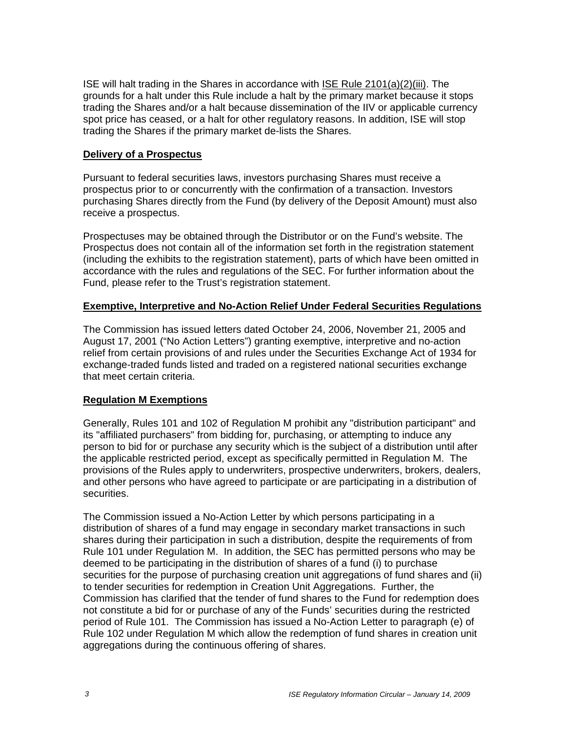ISE will halt trading in the Shares in accordance with ISE Rule 2101(a)(2)(iii). The grounds for a halt under this Rule include a halt by the primary market because it stops trading the Shares and/or a halt because dissemination of the IIV or applicable currency spot price has ceased, or a halt for other regulatory reasons. In addition, ISE will stop trading the Shares if the primary market de-lists the Shares.

#### **Delivery of a Prospectus**

Pursuant to federal securities laws, investors purchasing Shares must receive a prospectus prior to or concurrently with the confirmation of a transaction. Investors purchasing Shares directly from the Fund (by delivery of the Deposit Amount) must also receive a prospectus.

Prospectuses may be obtained through the Distributor or on the Fund's website. The Prospectus does not contain all of the information set forth in the registration statement (including the exhibits to the registration statement), parts of which have been omitted in accordance with the rules and regulations of the SEC. For further information about the Fund, please refer to the Trust's registration statement.

#### **Exemptive, Interpretive and No-Action Relief Under Federal Securities Regulations**

The Commission has issued letters dated October 24, 2006, November 21, 2005 and August 17, 2001 ("No Action Letters") granting exemptive, interpretive and no-action relief from certain provisions of and rules under the Securities Exchange Act of 1934 for exchange-traded funds listed and traded on a registered national securities exchange that meet certain criteria.

## **Regulation M Exemptions**

Generally, Rules 101 and 102 of Regulation M prohibit any "distribution participant" and its "affiliated purchasers" from bidding for, purchasing, or attempting to induce any person to bid for or purchase any security which is the subject of a distribution until after the applicable restricted period, except as specifically permitted in Regulation M. The provisions of the Rules apply to underwriters, prospective underwriters, brokers, dealers, and other persons who have agreed to participate or are participating in a distribution of securities.

The Commission issued a No-Action Letter by which persons participating in a distribution of shares of a fund may engage in secondary market transactions in such shares during their participation in such a distribution, despite the requirements of from Rule 101 under Regulation M. In addition, the SEC has permitted persons who may be deemed to be participating in the distribution of shares of a fund (i) to purchase securities for the purpose of purchasing creation unit aggregations of fund shares and (ii) to tender securities for redemption in Creation Unit Aggregations. Further, the Commission has clarified that the tender of fund shares to the Fund for redemption does not constitute a bid for or purchase of any of the Funds' securities during the restricted period of Rule 101. The Commission has issued a No-Action Letter to paragraph (e) of Rule 102 under Regulation M which allow the redemption of fund shares in creation unit aggregations during the continuous offering of shares.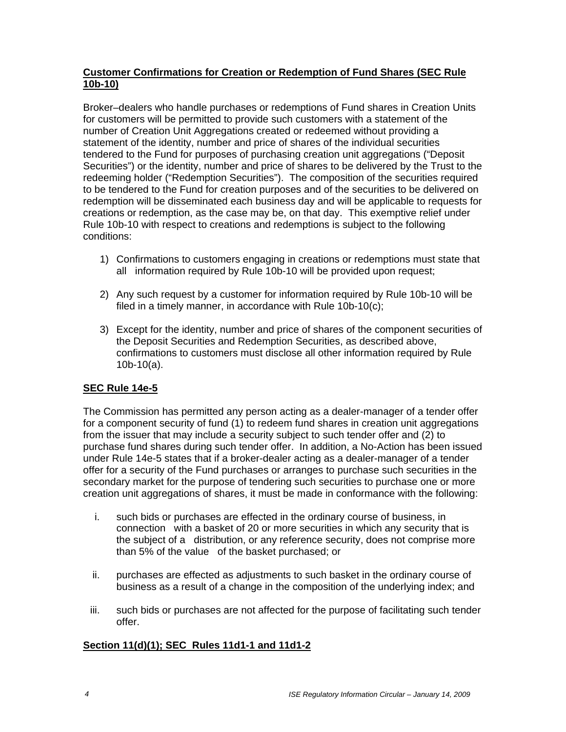## **Customer Confirmations for Creation or Redemption of Fund Shares (SEC Rule 10b-10)**

Broker–dealers who handle purchases or redemptions of Fund shares in Creation Units for customers will be permitted to provide such customers with a statement of the number of Creation Unit Aggregations created or redeemed without providing a statement of the identity, number and price of shares of the individual securities tendered to the Fund for purposes of purchasing creation unit aggregations ("Deposit Securities") or the identity, number and price of shares to be delivered by the Trust to the redeeming holder ("Redemption Securities"). The composition of the securities required to be tendered to the Fund for creation purposes and of the securities to be delivered on redemption will be disseminated each business day and will be applicable to requests for creations or redemption, as the case may be, on that day. This exemptive relief under Rule 10b-10 with respect to creations and redemptions is subject to the following conditions:

- 1) Confirmations to customers engaging in creations or redemptions must state that all information required by Rule 10b-10 will be provided upon request;
- 2) Any such request by a customer for information required by Rule 10b-10 will be filed in a timely manner, in accordance with Rule 10b-10(c);
- 3) Except for the identity, number and price of shares of the component securities of the Deposit Securities and Redemption Securities, as described above, confirmations to customers must disclose all other information required by Rule 10b-10(a).

## **SEC Rule 14e-5**

The Commission has permitted any person acting as a dealer-manager of a tender offer for a component security of fund (1) to redeem fund shares in creation unit aggregations from the issuer that may include a security subject to such tender offer and (2) to purchase fund shares during such tender offer. In addition, a No-Action has been issued under Rule 14e-5 states that if a broker-dealer acting as a dealer-manager of a tender offer for a security of the Fund purchases or arranges to purchase such securities in the secondary market for the purpose of tendering such securities to purchase one or more creation unit aggregations of shares, it must be made in conformance with the following:

- i. such bids or purchases are effected in the ordinary course of business, in connection with a basket of 20 or more securities in which any security that is the subject of a distribution, or any reference security, does not comprise more than 5% of the value of the basket purchased; or
- ii. purchases are effected as adjustments to such basket in the ordinary course of business as a result of a change in the composition of the underlying index; and
- iii. such bids or purchases are not affected for the purpose of facilitating such tender offer.

## **Section 11(d)(1); SEC Rules 11d1-1 and 11d1-2**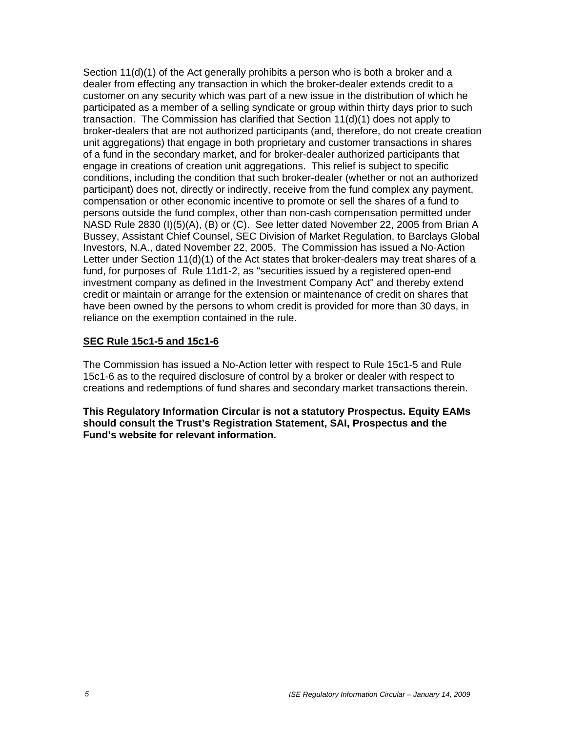Section 11(d)(1) of the Act generally prohibits a person who is both a broker and a dealer from effecting any transaction in which the broker-dealer extends credit to a customer on any security which was part of a new issue in the distribution of which he participated as a member of a selling syndicate or group within thirty days prior to such transaction. The Commission has clarified that Section 11(d)(1) does not apply to broker-dealers that are not authorized participants (and, therefore, do not create creation unit aggregations) that engage in both proprietary and customer transactions in shares of a fund in the secondary market, and for broker-dealer authorized participants that engage in creations of creation unit aggregations. This relief is subject to specific conditions, including the condition that such broker-dealer (whether or not an authorized participant) does not, directly or indirectly, receive from the fund complex any payment, compensation or other economic incentive to promote or sell the shares of a fund to persons outside the fund complex, other than non-cash compensation permitted under NASD Rule 2830 (I)(5)(A), (B) or (C). See letter dated November 22, 2005 from Brian A Bussey, Assistant Chief Counsel, SEC Division of Market Regulation, to Barclays Global Investors, N.A., dated November 22, 2005. The Commission has issued a No-Action Letter under Section 11(d)(1) of the Act states that broker-dealers may treat shares of a fund, for purposes of Rule 11d1-2, as "securities issued by a registered open-end investment company as defined in the Investment Company Act" and thereby extend credit or maintain or arrange for the extension or maintenance of credit on shares that have been owned by the persons to whom credit is provided for more than 30 days, in reliance on the exemption contained in the rule.

#### **SEC Rule 15c1-5 and 15c1-6**

The Commission has issued a No-Action letter with respect to Rule 15c1-5 and Rule 15c1-6 as to the required disclosure of control by a broker or dealer with respect to creations and redemptions of fund shares and secondary market transactions therein.

**This Regulatory Information Circular is not a statutory Prospectus. Equity EAMs should consult the Trust's Registration Statement, SAI, Prospectus and the Fund's website for relevant information.**